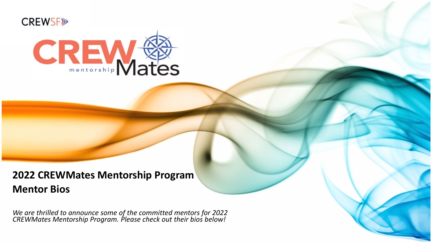



# **2022 CREWMates Mentorship Program Mentor Bios**

*We are thrilled to announce some of the committed mentors for 2022 CREWMates Mentorship Program. Please check out their bios below!*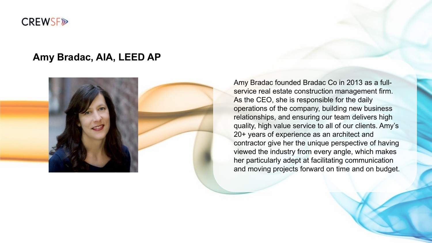#### **CREWSF®**

#### **Amy Bradac, AIA, LEED AP**



Amy Bradac founded Bradac Co in 2013 as a fullservice real estate construction management firm. As the CEO, she is responsible for the daily operations of the company, building new business relationships, and ensuring our team delivers high quality, high value service to all of our clients. Amy's 20+ years of experience as an architect and contractor give her the unique perspective of having viewed the industry from every angle, which makes her particularly adept at facilitating communication and moving projects forward on time and on budget.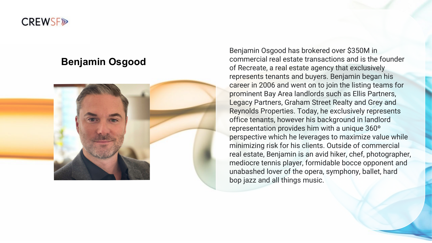

#### **Benjamin Osgood**



Benjamin Osgood has brokered over \$350M in commercial real estate transactions and is the founder of Recreate, a real estate agency that exclusively represents tenants and buyers. Benjamin began his career in 2006 and went on to join the listing teams for prominent Bay Area landlords such as Ellis Partners, Legacy Partners, Graham Street Realty and Grey and Reynolds Properties. Today, he exclusively represents office tenants, however his background in landlord representation provides him with a unique 360º perspective which he leverages to maximize value while minimizing risk for his clients. Outside of commercial real estate, Benjamin is an avid hiker, chef, photographer, mediocre tennis player, formidable bocce opponent and unabashed lover of the opera, symphony, ballet, hard bop jazz and all things music.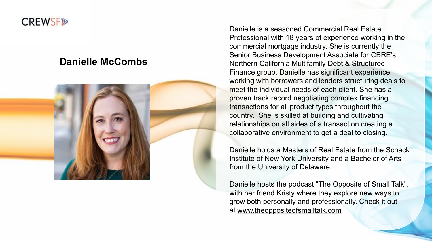#### **CREWSF<sub>I</sub>**

#### **Danielle McCombs**



Danielle is a seasoned Commercial Real Estate Professional with 18 years of experience working in the commercial mortgage industry. She is currently the Senior Business Development Associate for CBRE's Northern California Multifamily Debt & Structured Finance group. Danielle has significant experience working with borrowers and lenders structuring deals to meet the individual needs of each client. She has a proven track record negotiating complex financing transactions for all product types throughout the country. She is skilled at building and cultivating relationships on all sides of a transaction creating a collaborative environment to get a deal to closing.

Danielle holds a Masters of Real Estate from the Schack Institute of New York University and a Bachelor of Arts from the University of Delaware.

Danielle hosts the podcast "The Opposite of Small Talk", with her friend Kristy where they explore new ways to grow both personally and professionally. Check it out at [www.theoppositeofsmalltalk.com](https://nam04.safelinks.protection.outlook.com/?url=http%3A%2F%2Fwww.theoppositeofsmalltalk.com%2F&data=02%7C01%7C%7C4e27c1bbea504a2f982708d86a4909b4%7C9c40889b400643bfa232511323d1354f%7C0%7C1%7C637376209227009566&sdata=JtpEhI36QBPFzTigf1zIpBzsuIb8dfLU26i7tqXe0tg%3D&reserved=0)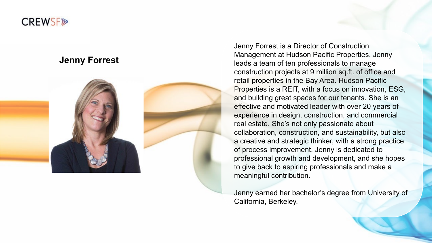

#### **Jenny Forrest**



Jenny Forrest is a Director of Construction Management at Hudson Pacific Properties. Jenny leads a team of ten professionals to manage construction projects at 9 million sq.ft. of office and retail properties in the Bay Area. Hudson Pacific Properties is a REIT, with a focus on innovation, ESG, and building great spaces for our tenants. She is an effective and motivated leader with over 20 years of experience in design, construction, and commercial real estate. She's not only passionate about collaboration, construction, and sustainability, but also a creative and strategic thinker, with a strong practice of process improvement. Jenny is dedicated to professional growth and development, and she hopes to give back to aspiring professionals and make a meaningful contribution.

Jenny earned her bachelor's degree from University of California, Berkeley.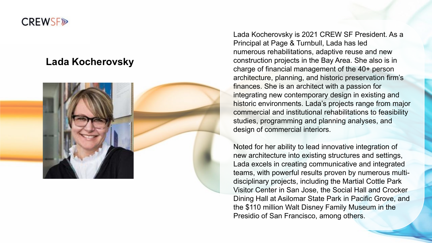## **CREWSF<sub>I</sub>**

### **Lada Kocherovsky**



Lada Kocherovsky is 2021 CREW SF President. As a Principal at Page & Turnbull, Lada has led numerous rehabilitations, adaptive reuse and new construction projects in the Bay Area. She also is in charge of financial management of the 40+ person architecture, planning, and historic preservation firm's finances. She is an architect with a passion for integrating new contemporary design in existing and historic environments. Lada's projects range from major commercial and institutional rehabilitations to feasibility studies, programming and planning analyses, and design of commercial interiors.

Noted for her ability to lead innovative integration of new architecture into existing structures and settings, Lada excels in creating communicative and integrated teams, with powerful results proven by numerous multi disciplinary projects, including the Martial Cottle Park Visitor Center in San Jose, the Social Hall and Crocker Dining Hall at Asilomar State Park in Pacific Grove, and the \$110 million Walt Disney Family Museum in the Presidio of San Francisco, among others.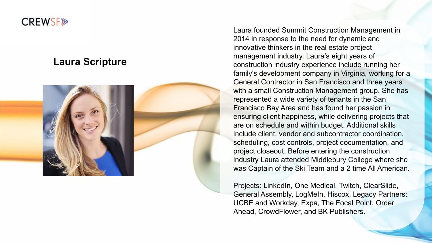### **CREWSF<sub>®</sub>**

## **Laura Scripture**



Laura founded Summit Construction Management in 2014 in response to the need for dynamic and innovative thinkers in the real estate project management industry. Laura's eight years of construction industry experience include running her family's development company in Virginia, working for a General Contractor in San Francisco and three years with a small Construction Management group. She has represented a wide variety of tenants in the San Francisco Bay Area and has found her passion in ensuring client happiness, while delivering projects that are on schedule and within budget. Additional skills include client, vendor and subcontractor coordination, scheduling, cost controls, project documentation, and project closeout. Before entering the construction industry Laura attended Middlebury College where she was Captain of the Ski Team and a 2 time All American.

Projects: LinkedIn, One Medical, Twitch, ClearSlide, General Assembly, LogMeIn, Hiscox, Legacy Partners: UCBE and Workday, Expa, The Focal Point, Order Ahead, CrowdFlower, and BK Publishers.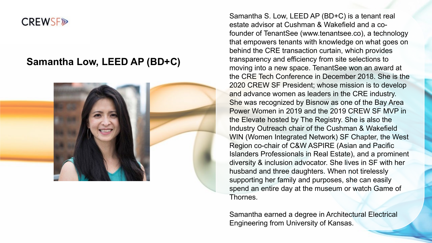### **CREWSF®**

### **Samantha Low, LEED AP (BD+C)**



Samantha S. Low, LEED AP (BD+C) is a tenant real estate advisor at Cushman & Wakefield and a cofounder of TenantSee (www.tenantsee.co), a technology that empowers tenants with knowledge on what goes on behind the CRE transaction curtain, which provides transparency and efficiency from site selections to moving into a new space. TenantSee won an award at the CRE Tech Conference in December 2018. She is the 2020 CREW SF President; whose mission is to develop and advance women as leaders in the CRE industry. She was recognized by Bisnow as one of the Bay Area Power Women in 2019 and the 2019 CREW SF MVP in the Elevate hosted by The Registry. She is also the Industry Outreach chair of the Cushman & Wakefield WIN (Women Integrated Network) SF Chapter, the West Region co-chair of C&W ASPIRE (Asian and Pacific Islanders Professionals in Real Estate), and a prominent diversity & inclusion advocator. She lives in SF with her husband and three daughters. When not tirelessly supporting her family and purposes, she can easily spend an entire day at the museum or watch Game of Thornes.

Samantha earned a degree in Architectural Electrical Engineering from University of Kansas.